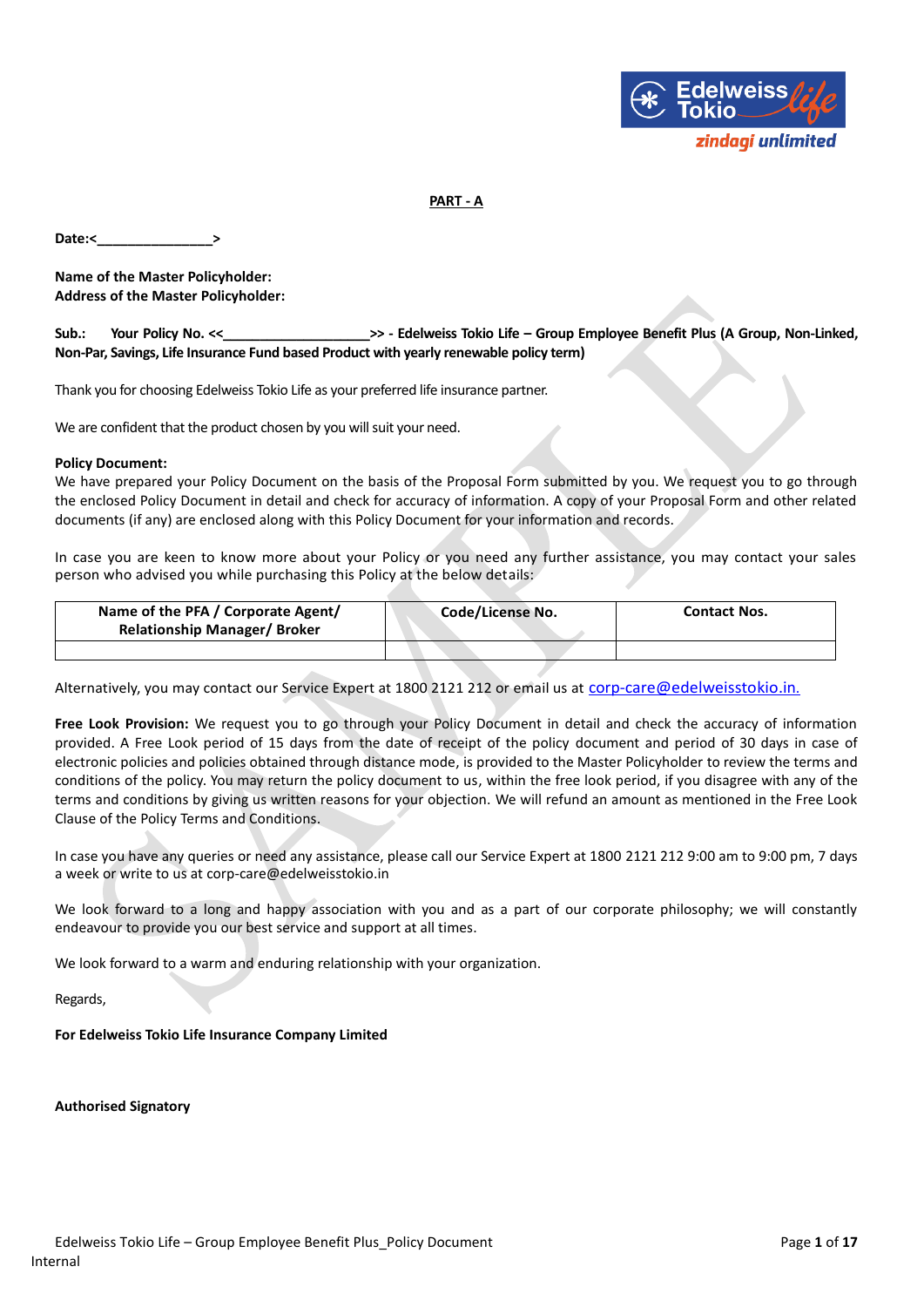

# **PART - A**

Date:<

**Name of the Master Policyholder: Address of the Master Policyholder:**

**Sub.: Your Policy No. <<\_\_\_\_\_\_\_\_\_\_\_\_\_\_\_\_\_\_\_\_>> - Edelweiss Tokio Life – Group Employee Benefit Plus (A Group, Non-Linked, Non-Par, Savings, Life Insurance Fund based Product with yearly renewable policy term)**

Thank you for choosing Edelweiss Tokio Life as your preferred life insurance partner.

We are confident that the product chosen by you will suit your need.

### **Policy Document:**

We have prepared your Policy Document on the basis of the Proposal Form submitted by you. We request you to go through the enclosed Policy Document in detail and check for accuracy of information. A copy of your Proposal Form and other related documents (if any) are enclosed along with this Policy Document for your information and records.

In case you are keen to know more about your Policy or you need any further assistance, you may contact your sales person who advised you while purchasing this Policy at the below details:

| Name of the PFA / Corporate Agent/<br><b>Relationship Manager/ Broker</b> |  | Code/License No. | <b>Contact Nos.</b> |
|---------------------------------------------------------------------------|--|------------------|---------------------|
|                                                                           |  |                  |                     |

Alternatively, you may contact our Service Expert at 1800 2121 212 or email us at corp[-care@edelweisstokio.in](mailto:care@edelweisstokio.in).

**Free Look Provision:** We request you to go through your Policy Document in detail and check the accuracy of information provided. A Free Look period of 15 days from the date of receipt of the policy document and period of 30 days in case of electronic policies and policies obtained through distance mode, is provided to the Master Policyholder to review the terms and conditions of the policy. You may return the policy document to us, within the free look period, if you disagree with any of the terms and conditions by giving us written reasons for your objection. We will refund an amount as mentioned in the Free Look Clause of the Policy Terms and Conditions.

In case you have any queries or need any assistance, please call our Service Expert at 1800 2121 212 9:00 am to 9:00 pm, 7 days a week or write to us at corp-care@edelweisstokio.in

We look forward to a long and happy association with you and as a part of our corporate philosophy; we will constantly endeavour to provide you our best service and support at all times.

We look forward to a warm and enduring relationship with your organization.

Regards,

**For Edelweiss Tokio Life Insurance Company Limited**

**Authorised Signatory**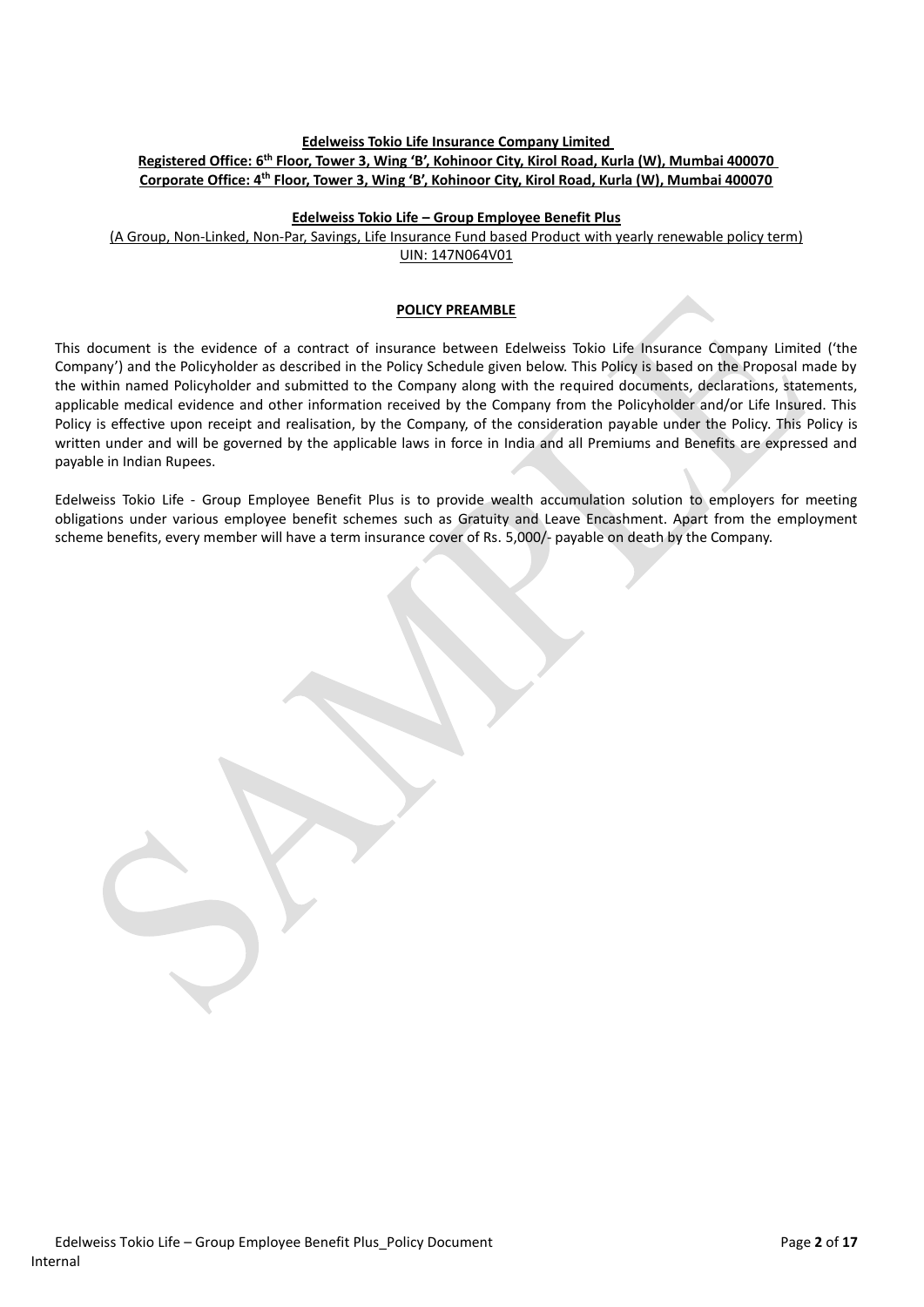# **Edelweiss Tokio Life Insurance Company Limited Registered Office: 6 th Floor, Tower 3, Wing 'B', Kohinoor City, Kirol Road, Kurla (W), Mumbai 400070 Corporate Office: 4th Floor, Tower 3, Wing 'B', Kohinoor City, Kirol Road, Kurla (W), Mumbai 400070**

## **Edelweiss Tokio Life – Group Employee Benefit Plus**

(A Group, Non-Linked, Non-Par, Savings, Life Insurance Fund based Product with yearly renewable policy term) UIN: 147N064V01

#### **POLICY PREAMBLE**

This document is the evidence of a contract of insurance between Edelweiss Tokio Life Insurance Company Limited ('the Company') and the Policyholder as described in the Policy Schedule given below. This Policy is based on the Proposal made by the within named Policyholder and submitted to the Company along with the required documents, declarations, statements, applicable medical evidence and other information received by the Company from the Policyholder and/or Life Insured. This Policy is effective upon receipt and realisation, by the Company, of the consideration payable under the Policy. This Policy is written under and will be governed by the applicable laws in force in India and all Premiums and Benefits are expressed and payable in Indian Rupees.

Edelweiss Tokio Life - Group Employee Benefit Plus is to provide wealth accumulation solution to employers for meeting obligations under various employee benefit schemes such as Gratuity and Leave Encashment. Apart from the employment scheme benefits, every member will have a term insurance cover of Rs. 5,000/- payable on death by the Company.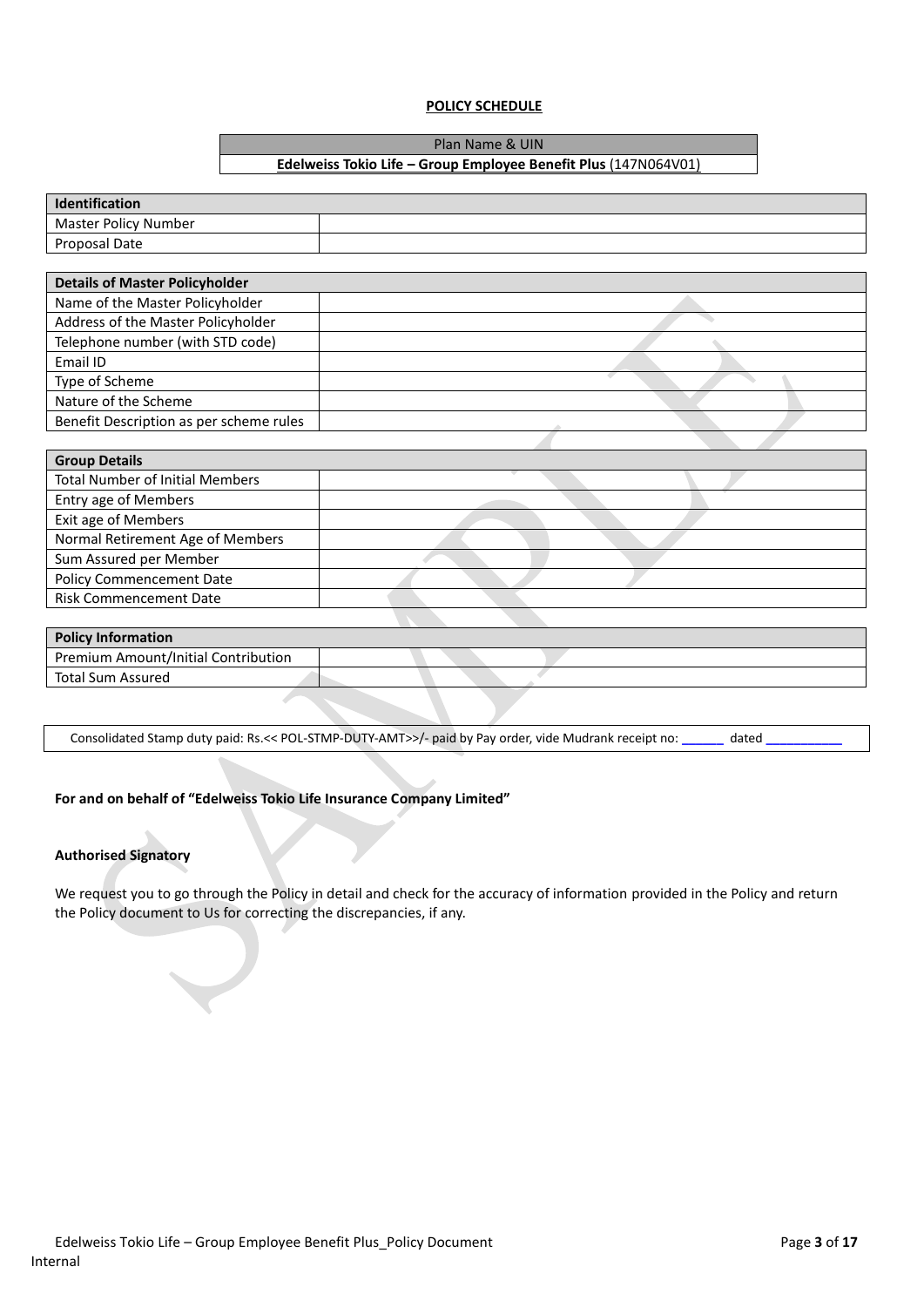# **POLICY SCHEDULE**

Plan Name & UIN

# **Edelweiss Tokio Life – Group Employee Benefit Plus** (147N064V01)

| Identification                          |  |  |
|-----------------------------------------|--|--|
| <b>Master Policy Number</b>             |  |  |
| Proposal Date                           |  |  |
|                                         |  |  |
| <b>Details of Master Policyholder</b>   |  |  |
| Name of the Master Policyholder         |  |  |
| Address of the Master Policyholder      |  |  |
| Telephone number (with STD code)        |  |  |
| Email ID                                |  |  |
| Type of Scheme                          |  |  |
| Nature of the Scheme                    |  |  |
| Benefit Description as per scheme rules |  |  |
|                                         |  |  |
| <b>Group Details</b>                    |  |  |
| <b>Total Number of Initial Members</b>  |  |  |
| <b>Entry age of Members</b>             |  |  |
| Exit age of Members                     |  |  |
| Normal Retirement Age of Members        |  |  |
| Sum Assured per Member                  |  |  |
| <b>Policy Commencement Date</b>         |  |  |
| <b>Risk Commencement Date</b>           |  |  |
|                                         |  |  |
| <b>Policy Information</b>               |  |  |
| Premium Amount/Initial Contribution     |  |  |
| <b>Total Sum Assured</b>                |  |  |

Consolidated Stamp duty paid: Rs.<< POL-STMP-DUTY-AMT>>/- paid by Pay order, vide Mudrank receipt no: **\_\_\_\_\_\_** dated **\_\_\_\_\_\_\_\_\_\_\_**

## **For and on behalf of "Edelweiss Tokio Life Insurance Company Limited"**

## **Authorised Signatory**

We request you to go through the Policy in detail and check for the accuracy of information provided in the Policy and return the Policy document to Us for correcting the discrepancies, if any.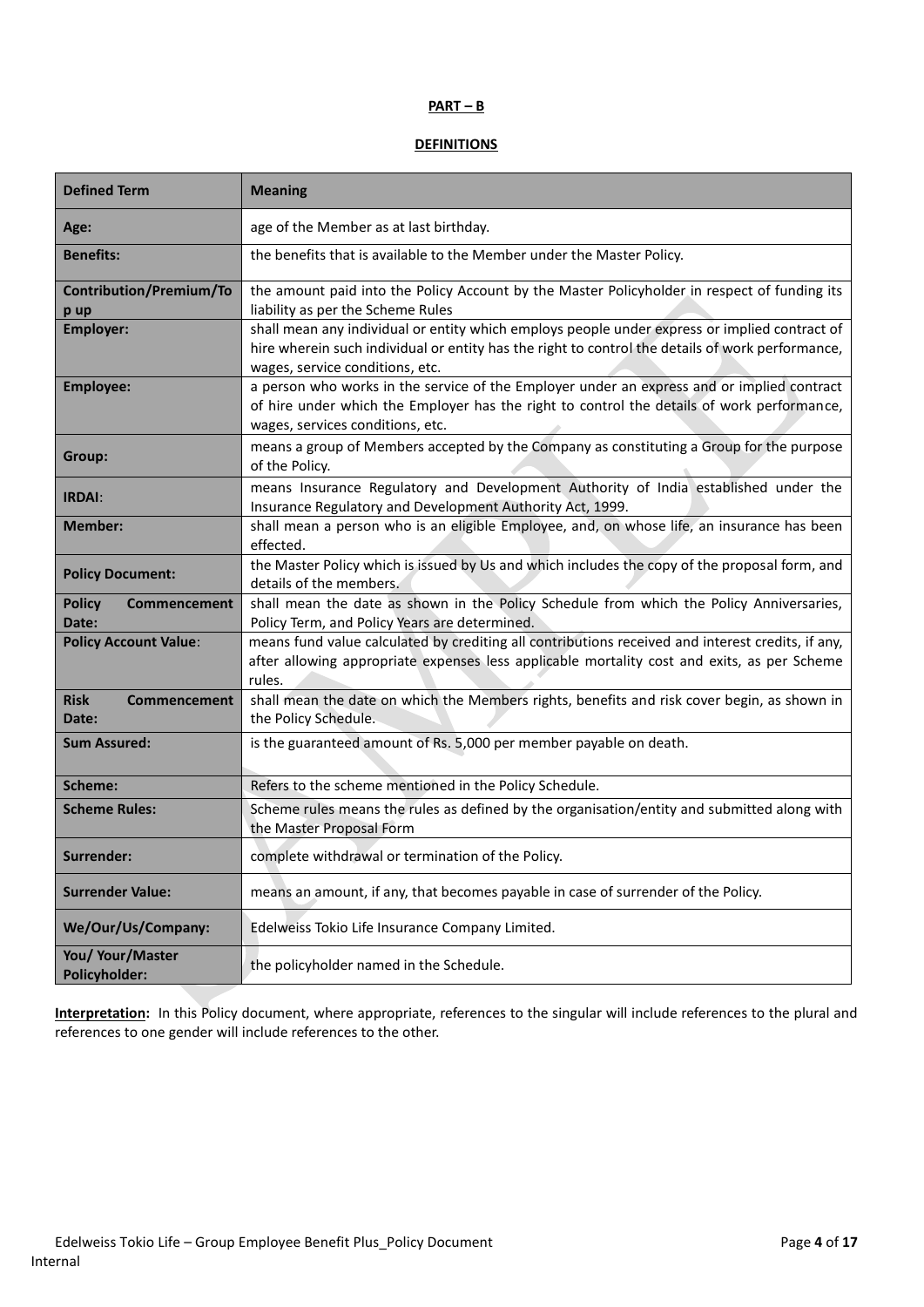### **PART – B**

# **DEFINITIONS**

| <b>Defined Term</b>                         | <b>Meaning</b>                                                                                                                                                                                                                       |
|---------------------------------------------|--------------------------------------------------------------------------------------------------------------------------------------------------------------------------------------------------------------------------------------|
| Age:                                        | age of the Member as at last birthday.                                                                                                                                                                                               |
| <b>Benefits:</b>                            | the benefits that is available to the Member under the Master Policy.                                                                                                                                                                |
| <b>Contribution/Premium/To</b><br>p up      | the amount paid into the Policy Account by the Master Policyholder in respect of funding its<br>liability as per the Scheme Rules                                                                                                    |
| <b>Employer:</b>                            | shall mean any individual or entity which employs people under express or implied contract of<br>hire wherein such individual or entity has the right to control the details of work performance,<br>wages, service conditions, etc. |
| <b>Employee:</b>                            | a person who works in the service of the Employer under an express and or implied contract<br>of hire under which the Employer has the right to control the details of work performance,<br>wages, services conditions, etc.         |
| Group:                                      | means a group of Members accepted by the Company as constituting a Group for the purpose<br>of the Policy.                                                                                                                           |
| <b>IRDAI:</b>                               | means Insurance Regulatory and Development Authority of India established under the<br>Insurance Regulatory and Development Authority Act, 1999.                                                                                     |
| <b>Member:</b>                              | shall mean a person who is an eligible Employee, and, on whose life, an insurance has been<br>effected.                                                                                                                              |
| <b>Policy Document:</b>                     | the Master Policy which is issued by Us and which includes the copy of the proposal form, and<br>details of the members.                                                                                                             |
| <b>Policy</b><br>Commencement<br>Date:      | shall mean the date as shown in the Policy Schedule from which the Policy Anniversaries,<br>Policy Term, and Policy Years are determined.                                                                                            |
| <b>Policy Account Value:</b>                | means fund value calculated by crediting all contributions received and interest credits, if any,<br>after allowing appropriate expenses less applicable mortality cost and exits, as per Scheme<br>rules.                           |
| <b>Risk</b><br><b>Commencement</b><br>Date: | shall mean the date on which the Members rights, benefits and risk cover begin, as shown in<br>the Policy Schedule.                                                                                                                  |
| <b>Sum Assured:</b>                         | is the guaranteed amount of Rs. 5,000 per member payable on death.                                                                                                                                                                   |
| Scheme:                                     | Refers to the scheme mentioned in the Policy Schedule.                                                                                                                                                                               |
| <b>Scheme Rules:</b>                        | Scheme rules means the rules as defined by the organisation/entity and submitted along with<br>the Master Proposal Form                                                                                                              |
| Surrender:                                  | complete withdrawal or termination of the Policy.                                                                                                                                                                                    |
| <b>Surrender Value:</b>                     | means an amount, if any, that becomes payable in case of surrender of the Policy.                                                                                                                                                    |
| We/Our/Us/Company:                          | Edelweiss Tokio Life Insurance Company Limited.                                                                                                                                                                                      |
| You/ Your/Master<br><b>Policyholder:</b>    | the policyholder named in the Schedule.                                                                                                                                                                                              |

**Interpretation:** In this Policy document, where appropriate, references to the singular will include references to the plural and references to one gender will include references to the other.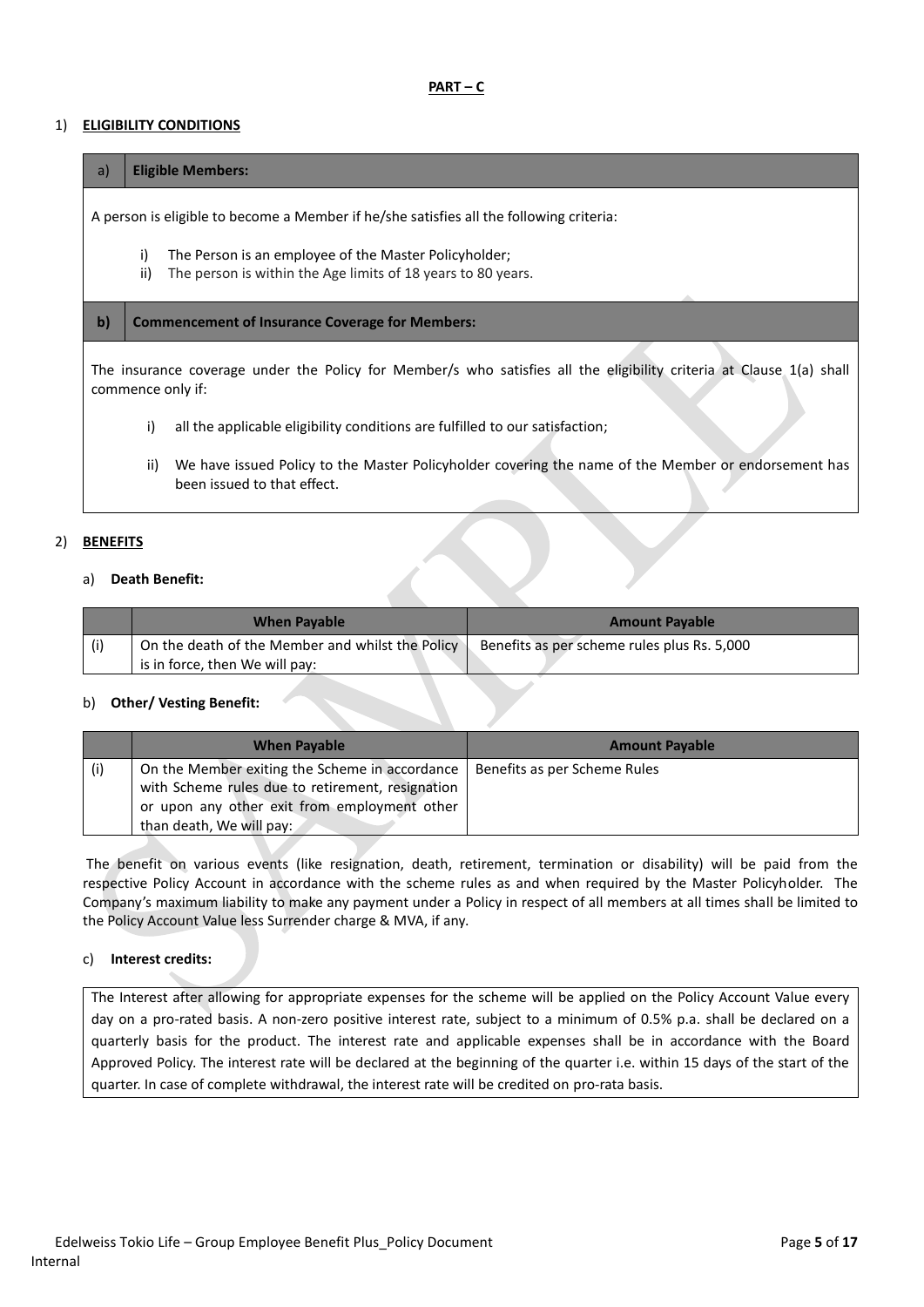### **PART – C**

## 1) **ELIGIBILITY CONDITIONS**

#### a) **Eligible Members:**

A person is eligible to become a Member if he/she satisfies all the following criteria:

- i) The Person is an employee of the Master Policyholder;
- ii) The person is within the Age limits of 18 years to 80 years.

### **b) Commencement of Insurance Coverage for Members:**

The insurance coverage under the Policy for Member/s who satisfies all the eligibility criteria at Clause 1(a) shall commence only if:

- i) all the applicable eligibility conditions are fulfilled to our satisfaction;
- ii) We have issued Policy to the Master Policyholder covering the name of the Member or endorsement has been issued to that effect.

### 2) **BENEFITS**

#### a) **Death Benefit:**

|     | When Pavable                                     | <b>Amount Pavable</b>                       |
|-----|--------------------------------------------------|---------------------------------------------|
| (i) | On the death of the Member and whilst the Policy | Benefits as per scheme rules plus Rs. 5,000 |
|     | is in force, then We will pay:                   |                                             |

## b) **Other/ Vesting Benefit:**

|     | <b>When Payable</b>                                                                                                                                                            | <b>Amount Payable</b>        |
|-----|--------------------------------------------------------------------------------------------------------------------------------------------------------------------------------|------------------------------|
| (i) | On the Member exiting the Scheme in accordance<br>with Scheme rules due to retirement, resignation<br>or upon any other exit from employment other<br>than death, We will pay: | Benefits as per Scheme Rules |

The benefit on various events (like resignation, death, retirement, termination or disability) will be paid from the respective Policy Account in accordance with the scheme rules as and when required by the Master Policyholder. The Company's maximum liability to make any payment under a Policy in respect of all members at all times shall be limited to the Policy Account Value less Surrender charge & MVA, if any.

### c) **Interest credits:**

The Interest after allowing for appropriate expenses for the scheme will be applied on the Policy Account Value every day on a pro-rated basis. A non-zero positive interest rate, subject to a minimum of 0.5% p.a. shall be declared on a quarterly basis for the product. The interest rate and applicable expenses shall be in accordance with the Board Approved Policy. The interest rate will be declared at the beginning of the quarter i.e. within 15 days of the start of the quarter. In case of complete withdrawal, the interest rate will be credited on pro-rata basis.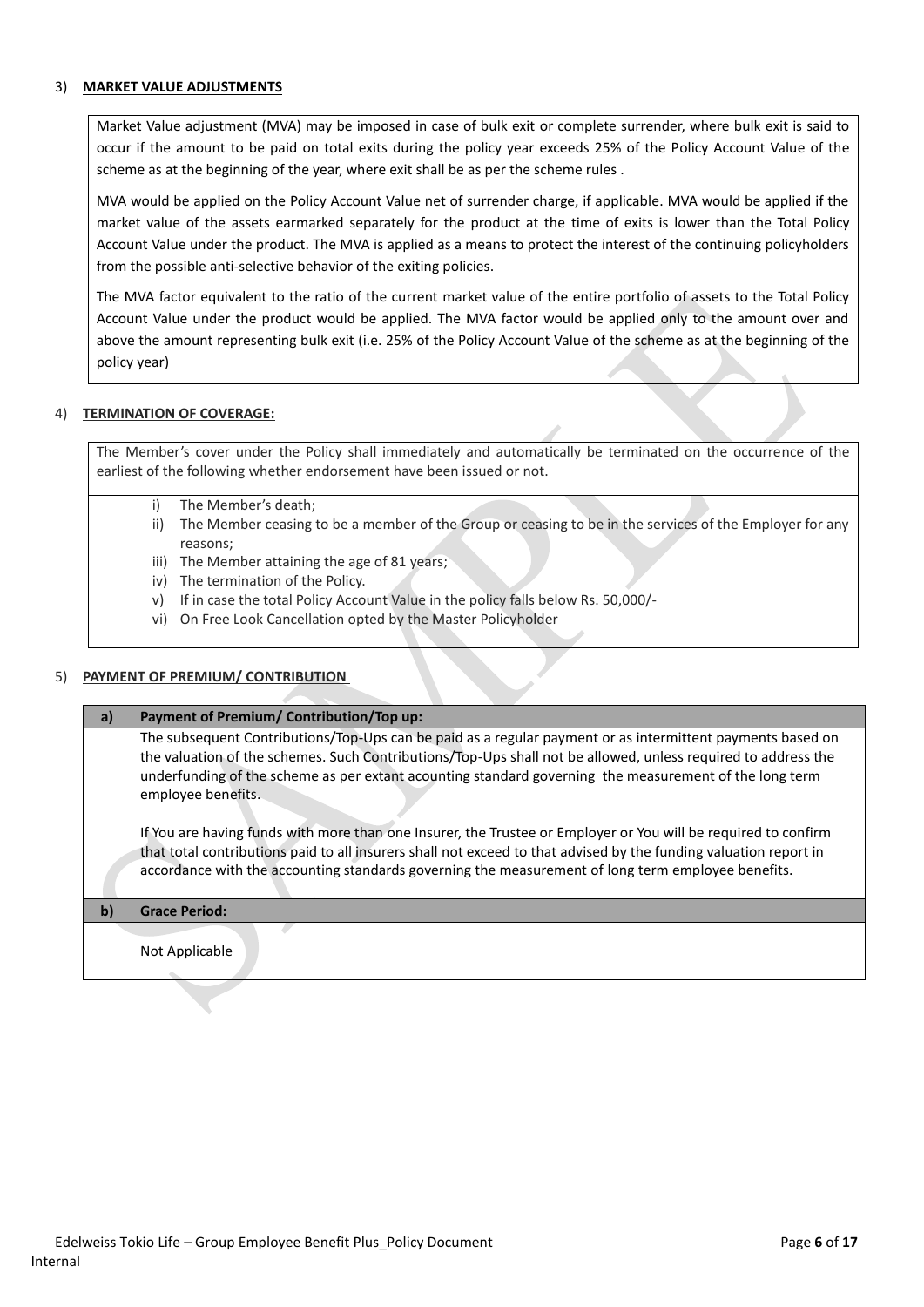# 3) **MARKET VALUE ADJUSTMENTS**

Market Value adjustment (MVA) may be imposed in case of bulk exit or complete surrender, where bulk exit is said to occur if the amount to be paid on total exits during the policy year exceeds 25% of the Policy Account Value of the scheme as at the beginning of the year, where exit shall be as per the scheme rules .

MVA would be applied on the Policy Account Value net of surrender charge, if applicable. MVA would be applied if the market value of the assets earmarked separately for the product at the time of exits is lower than the Total Policy Account Value under the product. The MVA is applied as a means to protect the interest of the continuing policyholders from the possible anti-selective behavior of the exiting policies.

The MVA factor equivalent to the ratio of the current market value of the entire portfolio of assets to the Total Policy Account Value under the product would be applied. The MVA factor would be applied only to the amount over and above the amount representing bulk exit (i.e. 25% of the Policy Account Value of the scheme as at the beginning of the policy year)

# 4) **TERMINATION OF COVERAGE:**

The Member's cover under the Policy shall immediately and automatically be terminated on the occurrence of the earliest of the following whether endorsement have been issued or not.

- i) The Member's death;
- ii) The Member ceasing to be a member of the Group or ceasing to be in the services of the Employer for any reasons;
- iii) The Member attaining the age of 81 years;
- iv) The termination of the Policy.
- v) If in case the total Policy Account Value in the policy falls below Rs. 50,000/-
- vi) On Free Look Cancellation opted by the Master Policyholder

# 5) **PAYMENT OF PREMIUM/ CONTRIBUTION**

| a)  | Payment of Premium/Contribution/Top up:                                                                                                                                                                                                                                                                                                                     |
|-----|-------------------------------------------------------------------------------------------------------------------------------------------------------------------------------------------------------------------------------------------------------------------------------------------------------------------------------------------------------------|
|     | The subsequent Contributions/Top-Ups can be paid as a regular payment or as intermittent payments based on<br>the valuation of the schemes. Such Contributions/Top-Ups shall not be allowed, unless required to address the<br>underfunding of the scheme as per extant acounting standard governing the measurement of the long term<br>employee benefits. |
|     | If You are having funds with more than one Insurer, the Trustee or Employer or You will be required to confirm<br>that total contributions paid to all insurers shall not exceed to that advised by the funding valuation report in<br>accordance with the accounting standards governing the measurement of long term employee benefits.                   |
| $b$ | <b>Grace Period:</b>                                                                                                                                                                                                                                                                                                                                        |
|     |                                                                                                                                                                                                                                                                                                                                                             |
|     | Not Applicable                                                                                                                                                                                                                                                                                                                                              |
|     |                                                                                                                                                                                                                                                                                                                                                             |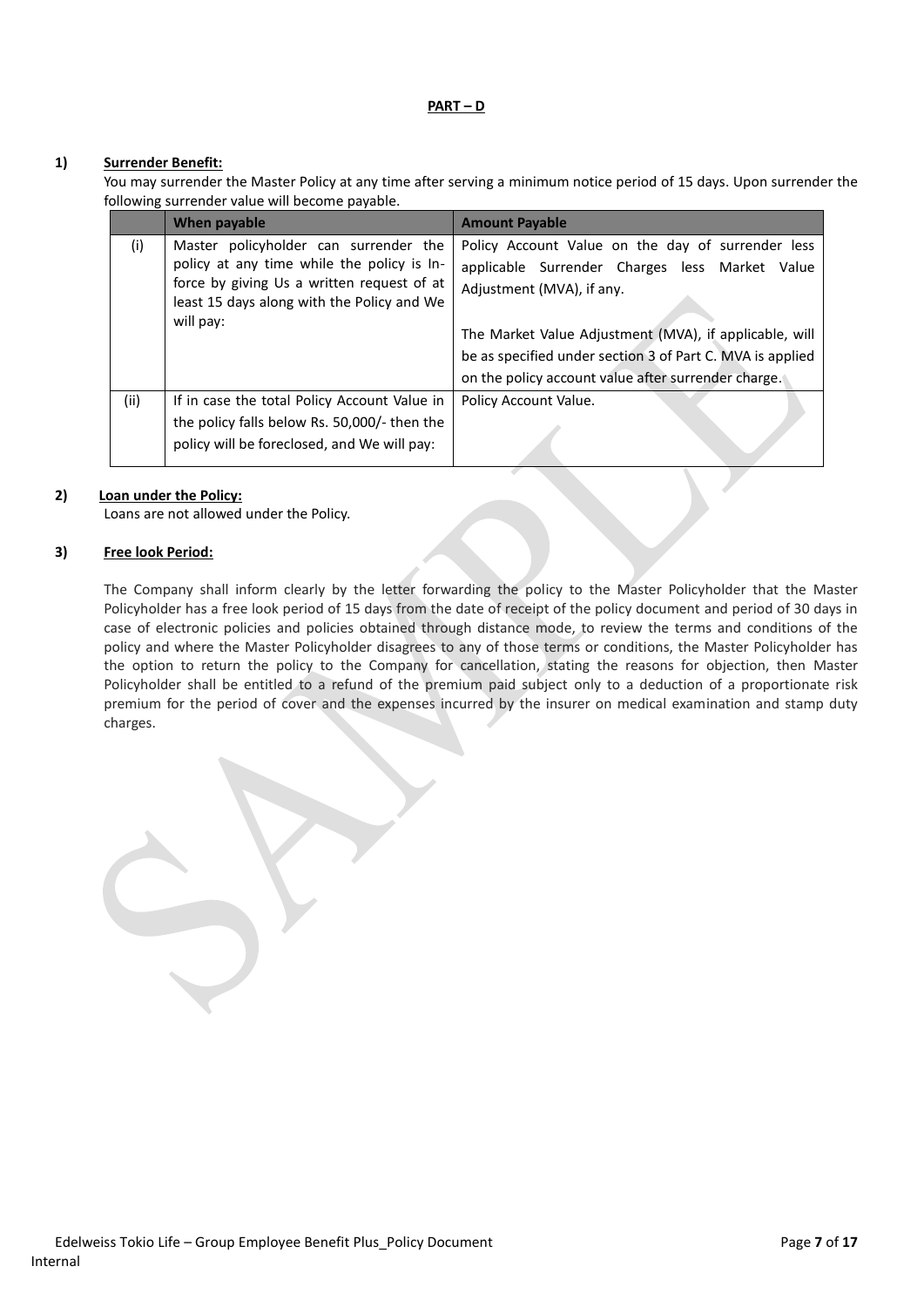#### **PART – D**

# **1) Surrender Benefit:**

You may surrender the Master Policy at any time after serving a minimum notice period of 15 days. Upon surrender the following surrender value will become payable.

|      | When payable                                                                                                                                                                                 | <b>Amount Payable</b>                                                                                                                                                                                                                                                                                          |
|------|----------------------------------------------------------------------------------------------------------------------------------------------------------------------------------------------|----------------------------------------------------------------------------------------------------------------------------------------------------------------------------------------------------------------------------------------------------------------------------------------------------------------|
| (i)  | Master policyholder can surrender the<br>policy at any time while the policy is In-<br>force by giving Us a written request of at<br>least 15 days along with the Policy and We<br>will pay: | Policy Account Value on the day of surrender less<br>applicable Surrender Charges less Market Value<br>Adjustment (MVA), if any.<br>The Market Value Adjustment (MVA), if applicable, will<br>be as specified under section 3 of Part C. MVA is applied<br>on the policy account value after surrender charge. |
| (ii) | If in case the total Policy Account Value in<br>the policy falls below Rs. 50,000/- then the<br>policy will be foreclosed, and We will pay:                                                  | Policy Account Value.                                                                                                                                                                                                                                                                                          |

# **2) Loan under the Policy:**

Loans are not allowed under the Policy.

## **3) Free look Period:**

The Company shall inform clearly by the letter forwarding the policy to the Master Policyholder that the Master Policyholder has a free look period of 15 days from the date of receipt of the policy document and period of 30 days in case of electronic policies and policies obtained through distance mode, to review the terms and conditions of the policy and where the Master Policyholder disagrees to any of those terms or conditions, the Master Policyholder has the option to return the policy to the Company for cancellation, stating the reasons for objection, then Master Policyholder shall be entitled to a refund of the premium paid subject only to a deduction of a proportionate risk premium for the period of cover and the expenses incurred by the insurer on medical examination and stamp duty charges.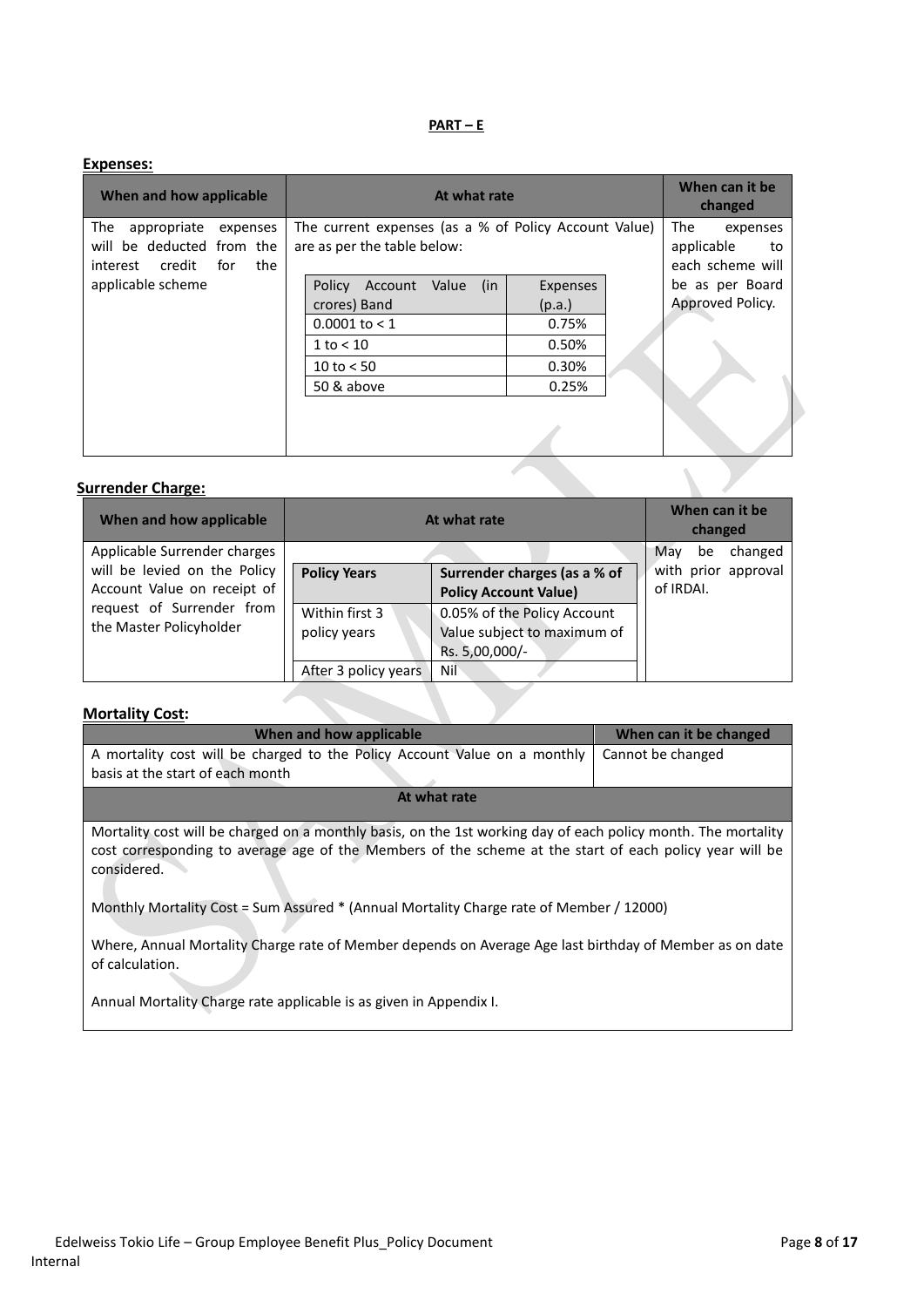# **PART – E**

| <b>Expenses:</b>                                                                             |                                                                                                                               |                                                         |
|----------------------------------------------------------------------------------------------|-------------------------------------------------------------------------------------------------------------------------------|---------------------------------------------------------|
| When and how applicable                                                                      | At what rate                                                                                                                  | When can it be<br>changed                               |
| The<br>appropriate<br>expenses<br>will be deducted from the<br>interest credit<br>for<br>the | The current expenses (as a % of Policy Account Value)<br>are as per the table below:                                          | The<br>expenses<br>applicable<br>to<br>each scheme will |
| applicable scheme                                                                            | Value<br>(in<br>Expenses<br>Policy<br>Account<br>crores) Band<br>(p.a.)<br>$0.0001$ to < 1<br>0.75%<br>0.50%<br>$1$ to $< 10$ | be as per Board<br>Approved Policy.                     |
|                                                                                              | 0.30%<br>10 to $< 50$<br>50 & above<br>0.25%                                                                                  |                                                         |
|                                                                                              |                                                                                                                               |                                                         |

# **Surrender Charge:**

| When and how applicable                                     | At what rate                   |                                                                              | When can it be<br>changed        |
|-------------------------------------------------------------|--------------------------------|------------------------------------------------------------------------------|----------------------------------|
| Applicable Surrender charges                                |                                |                                                                              | May<br>changed<br>be             |
| will be levied on the Policy<br>Account Value on receipt of | <b>Policy Years</b>            | Surrender charges (as a % of<br><b>Policy Account Value)</b>                 | with prior approval<br>of IRDAI. |
| request of Surrender from<br>the Master Policyholder        | Within first 3<br>policy years | 0.05% of the Policy Account<br>Value subject to maximum of<br>Rs. 5,00,000/- |                                  |
|                                                             | After 3 policy years           | Nil                                                                          |                                  |

J.

# **Mortality Cost:**

| When and how applicable                                                                                                                                                                                                                 | When can it be changed |
|-----------------------------------------------------------------------------------------------------------------------------------------------------------------------------------------------------------------------------------------|------------------------|
| A mortality cost will be charged to the Policy Account Value on a monthly<br>basis at the start of each month                                                                                                                           | Cannot be changed      |
| At what rate                                                                                                                                                                                                                            |                        |
| Mortality cost will be charged on a monthly basis, on the 1st working day of each policy month. The mortality<br>cost corresponding to average age of the Members of the scheme at the start of each policy year will be<br>considered. |                        |

Monthly Mortality Cost = Sum Assured \* (Annual Mortality Charge rate of Member / 12000)

Where, Annual Mortality Charge rate of Member depends on Average Age last birthday of Member as on date of calculation.

Annual Mortality Charge rate applicable is as given in Appendix I.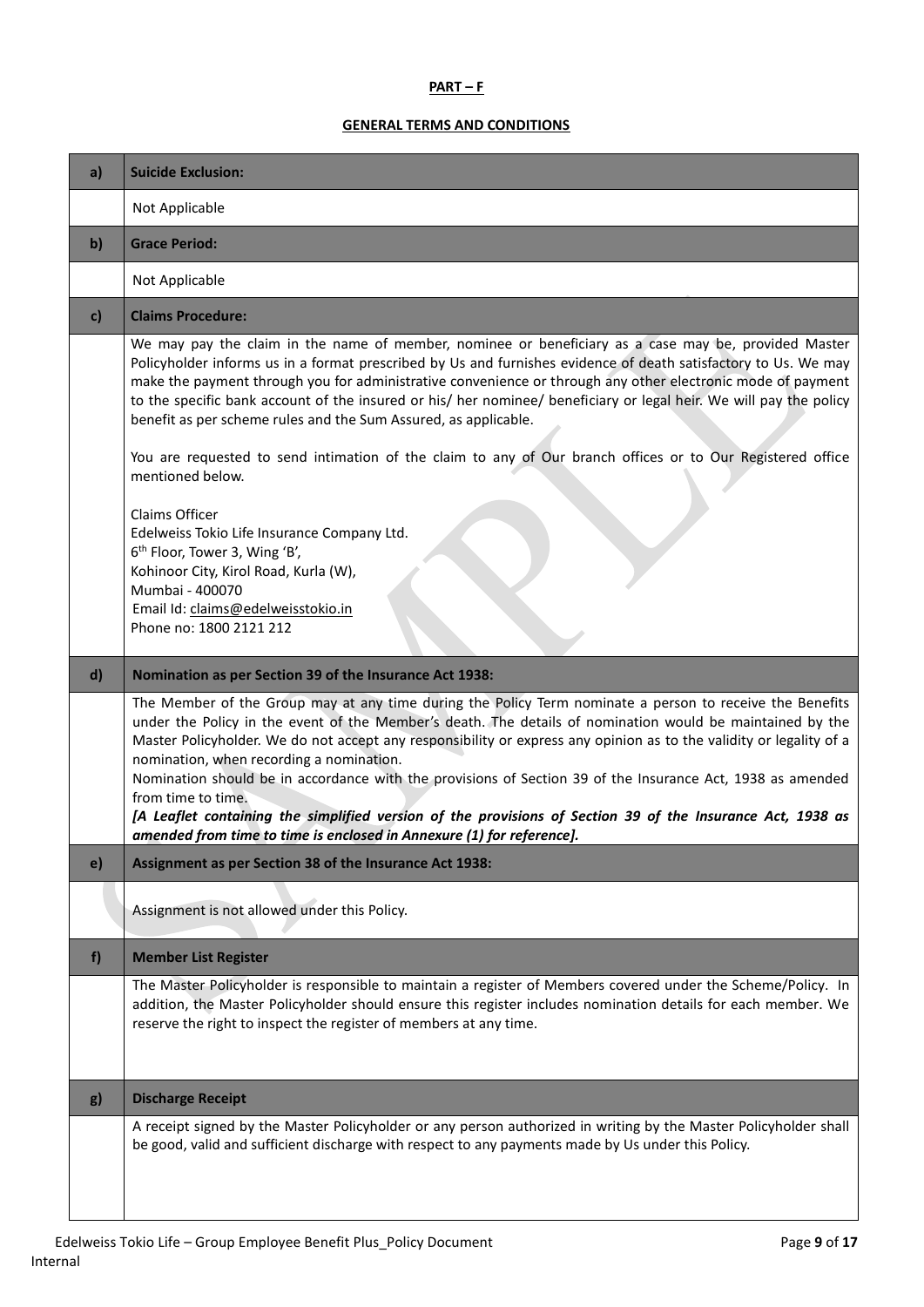# **PART – F**

# **GENERAL TERMS AND CONDITIONS**

| a)           | <b>Suicide Exclusion:</b>                                                                                                                                                                                                                                                                                                                                                                                                                                                                                                                                                                                                                  |
|--------------|--------------------------------------------------------------------------------------------------------------------------------------------------------------------------------------------------------------------------------------------------------------------------------------------------------------------------------------------------------------------------------------------------------------------------------------------------------------------------------------------------------------------------------------------------------------------------------------------------------------------------------------------|
|              | Not Applicable                                                                                                                                                                                                                                                                                                                                                                                                                                                                                                                                                                                                                             |
| $\mathbf{b}$ | <b>Grace Period:</b>                                                                                                                                                                                                                                                                                                                                                                                                                                                                                                                                                                                                                       |
|              | Not Applicable                                                                                                                                                                                                                                                                                                                                                                                                                                                                                                                                                                                                                             |
| $\mathbf{c}$ | <b>Claims Procedure:</b>                                                                                                                                                                                                                                                                                                                                                                                                                                                                                                                                                                                                                   |
|              | We may pay the claim in the name of member, nominee or beneficiary as a case may be, provided Master<br>Policyholder informs us in a format prescribed by Us and furnishes evidence of death satisfactory to Us. We may<br>make the payment through you for administrative convenience or through any other electronic mode of payment<br>to the specific bank account of the insured or his/ her nominee/ beneficiary or legal heir. We will pay the policy<br>benefit as per scheme rules and the Sum Assured, as applicable.                                                                                                            |
|              | You are requested to send intimation of the claim to any of Our branch offices or to Our Registered office<br>mentioned below.                                                                                                                                                                                                                                                                                                                                                                                                                                                                                                             |
|              | Claims Officer<br>Edelweiss Tokio Life Insurance Company Ltd.<br>6 <sup>th</sup> Floor, Tower 3, Wing 'B',<br>Kohinoor City, Kirol Road, Kurla (W),<br>Mumbai - 400070                                                                                                                                                                                                                                                                                                                                                                                                                                                                     |
|              | Email Id: claims@edelweisstokio.in<br>Phone no: 1800 2121 212                                                                                                                                                                                                                                                                                                                                                                                                                                                                                                                                                                              |
| $\mathbf{d}$ | Nomination as per Section 39 of the Insurance Act 1938:                                                                                                                                                                                                                                                                                                                                                                                                                                                                                                                                                                                    |
|              | The Member of the Group may at any time during the Policy Term nominate a person to receive the Benefits<br>under the Policy in the event of the Member's death. The details of nomination would be maintained by the<br>Master Policyholder. We do not accept any responsibility or express any opinion as to the validity or legality of a<br>nomination, when recording a nomination.<br>Nomination should be in accordance with the provisions of Section 39 of the Insurance Act, 1938 as amended<br>from time to time.<br>[A Leaflet containing the simplified version of the provisions of Section 39 of the Insurance Act, 1938 as |
|              | amended from time to time is enclosed in Annexure (1) for reference].                                                                                                                                                                                                                                                                                                                                                                                                                                                                                                                                                                      |
| $\epsilon$   | Assignment as per Section 38 of the Insurance Act 1938:                                                                                                                                                                                                                                                                                                                                                                                                                                                                                                                                                                                    |
|              | Assignment is not allowed under this Policy.                                                                                                                                                                                                                                                                                                                                                                                                                                                                                                                                                                                               |
| f            | <b>Member List Register</b>                                                                                                                                                                                                                                                                                                                                                                                                                                                                                                                                                                                                                |
|              | The Master Policyholder is responsible to maintain a register of Members covered under the Scheme/Policy. In<br>addition, the Master Policyholder should ensure this register includes nomination details for each member. We<br>reserve the right to inspect the register of members at any time.                                                                                                                                                                                                                                                                                                                                         |
| g)           | <b>Discharge Receipt</b>                                                                                                                                                                                                                                                                                                                                                                                                                                                                                                                                                                                                                   |
|              | A receipt signed by the Master Policyholder or any person authorized in writing by the Master Policyholder shall<br>be good, valid and sufficient discharge with respect to any payments made by Us under this Policy.                                                                                                                                                                                                                                                                                                                                                                                                                     |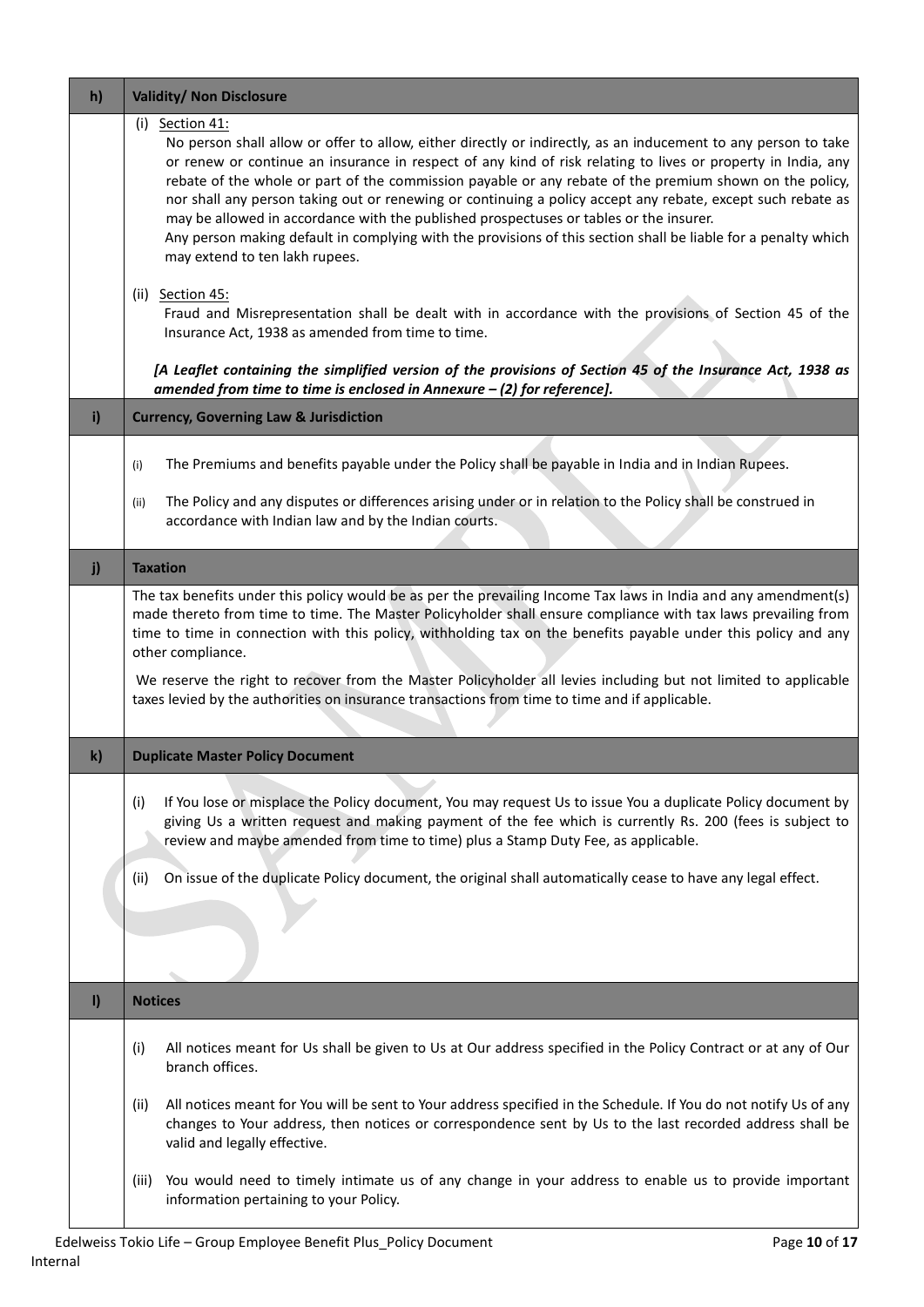| h)           | <b>Validity/ Non Disclosure</b>                                                                                                                                                                                                                                                                                                                                                                                                                                                                                                                                                                                                                                                                                                                                                                                                                                                                                |
|--------------|----------------------------------------------------------------------------------------------------------------------------------------------------------------------------------------------------------------------------------------------------------------------------------------------------------------------------------------------------------------------------------------------------------------------------------------------------------------------------------------------------------------------------------------------------------------------------------------------------------------------------------------------------------------------------------------------------------------------------------------------------------------------------------------------------------------------------------------------------------------------------------------------------------------|
|              | $(i)$ Section 41:<br>No person shall allow or offer to allow, either directly or indirectly, as an inducement to any person to take<br>or renew or continue an insurance in respect of any kind of risk relating to lives or property in India, any<br>rebate of the whole or part of the commission payable or any rebate of the premium shown on the policy,<br>nor shall any person taking out or renewing or continuing a policy accept any rebate, except such rebate as<br>may be allowed in accordance with the published prospectuses or tables or the insurer.<br>Any person making default in complying with the provisions of this section shall be liable for a penalty which<br>may extend to ten lakh rupees.<br>(ii) Section 45:<br>Fraud and Misrepresentation shall be dealt with in accordance with the provisions of Section 45 of the<br>Insurance Act, 1938 as amended from time to time. |
|              | [A Leaflet containing the simplified version of the provisions of Section 45 of the Insurance Act, 1938 as<br>amended from time to time is enclosed in Annexure - (2) for reference].                                                                                                                                                                                                                                                                                                                                                                                                                                                                                                                                                                                                                                                                                                                          |
| i)           | <b>Currency, Governing Law &amp; Jurisdiction</b>                                                                                                                                                                                                                                                                                                                                                                                                                                                                                                                                                                                                                                                                                                                                                                                                                                                              |
|              | The Premiums and benefits payable under the Policy shall be payable in India and in Indian Rupees.<br>(i)<br>The Policy and any disputes or differences arising under or in relation to the Policy shall be construed in<br>(ii)<br>accordance with Indian law and by the Indian courts.                                                                                                                                                                                                                                                                                                                                                                                                                                                                                                                                                                                                                       |
| j)           | <b>Taxation</b>                                                                                                                                                                                                                                                                                                                                                                                                                                                                                                                                                                                                                                                                                                                                                                                                                                                                                                |
|              | The tax benefits under this policy would be as per the prevailing Income Tax laws in India and any amendment(s)<br>made thereto from time to time. The Master Policyholder shall ensure compliance with tax laws prevailing from<br>time to time in connection with this policy, withholding tax on the benefits payable under this policy and any<br>other compliance.<br>We reserve the right to recover from the Master Policyholder all levies including but not limited to applicable<br>taxes levied by the authorities on insurance transactions from time to time and if applicable.                                                                                                                                                                                                                                                                                                                   |
| $\mathbf{k}$ | <b>Duplicate Master Policy Document</b>                                                                                                                                                                                                                                                                                                                                                                                                                                                                                                                                                                                                                                                                                                                                                                                                                                                                        |
|              | If You lose or misplace the Policy document, You may request Us to issue You a duplicate Policy document by<br>(i)<br>giving Us a written request and making payment of the fee which is currently Rs. 200 (fees is subject to<br>review and maybe amended from time to time) plus a Stamp Duty Fee, as applicable.                                                                                                                                                                                                                                                                                                                                                                                                                                                                                                                                                                                            |
|              | On issue of the duplicate Policy document, the original shall automatically cease to have any legal effect.<br>(ii)                                                                                                                                                                                                                                                                                                                                                                                                                                                                                                                                                                                                                                                                                                                                                                                            |
| $\mathbf{I}$ | <b>Notices</b>                                                                                                                                                                                                                                                                                                                                                                                                                                                                                                                                                                                                                                                                                                                                                                                                                                                                                                 |
|              | All notices meant for Us shall be given to Us at Our address specified in the Policy Contract or at any of Our<br>(i)<br>branch offices.                                                                                                                                                                                                                                                                                                                                                                                                                                                                                                                                                                                                                                                                                                                                                                       |
|              | All notices meant for You will be sent to Your address specified in the Schedule. If You do not notify Us of any<br>(ii)<br>changes to Your address, then notices or correspondence sent by Us to the last recorded address shall be<br>valid and legally effective.                                                                                                                                                                                                                                                                                                                                                                                                                                                                                                                                                                                                                                           |
|              | You would need to timely intimate us of any change in your address to enable us to provide important<br>(iii)<br>information pertaining to your Policy.                                                                                                                                                                                                                                                                                                                                                                                                                                                                                                                                                                                                                                                                                                                                                        |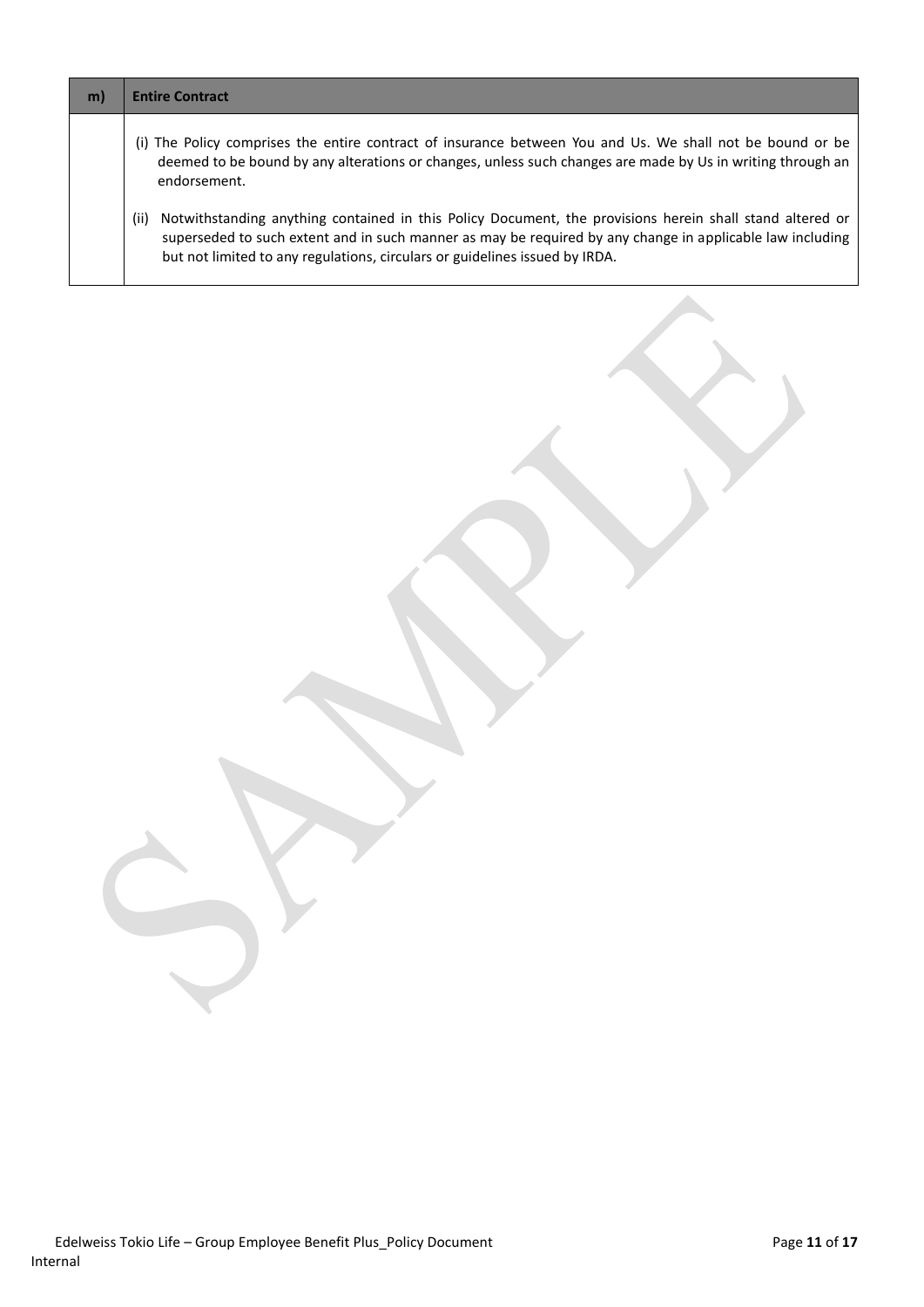| m) | <b>Entire Contract</b>                                                                                                                                                                                                                                                                                       |
|----|--------------------------------------------------------------------------------------------------------------------------------------------------------------------------------------------------------------------------------------------------------------------------------------------------------------|
|    | (i) The Policy comprises the entire contract of insurance between You and Us. We shall not be bound or be<br>deemed to be bound by any alterations or changes, unless such changes are made by Us in writing through an<br>endorsement.                                                                      |
|    | Notwithstanding anything contained in this Policy Document, the provisions herein shall stand altered or<br>(ii)<br>superseded to such extent and in such manner as may be required by any change in applicable law including<br>but not limited to any regulations, circulars or guidelines issued by IRDA. |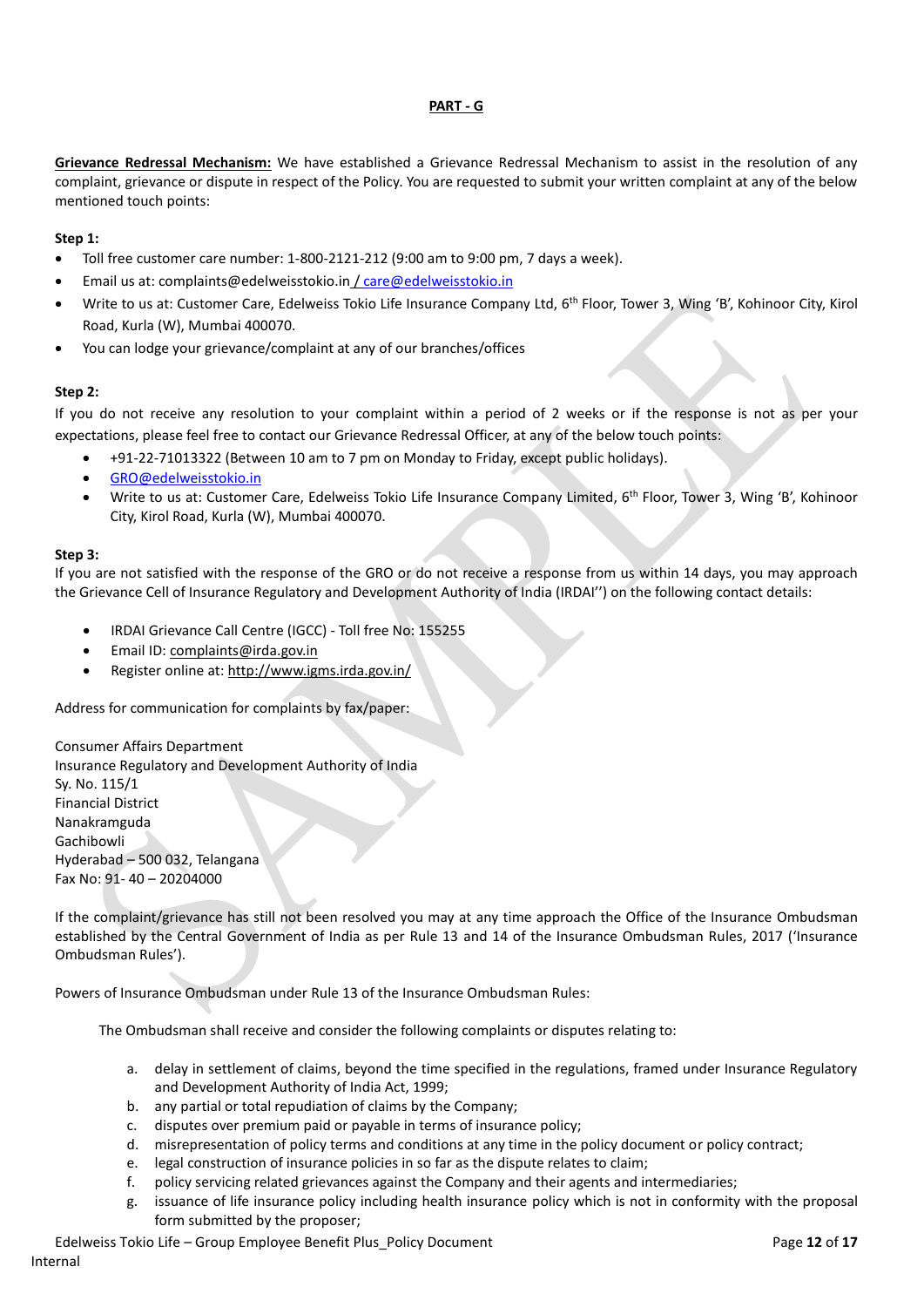### **PART - G**

**Grievance Redressal Mechanism:** We have established a Grievance Redressal Mechanism to assist in the resolution of any complaint, grievance or dispute in respect of the Policy. You are requested to submit your written complaint at any of the below mentioned touch points:

### **Step 1:**

- Toll free customer care number: 1-800-2121-212 (9:00 am to 9:00 pm, 7 days a week).
- Email us at: complaints@edelweisstokio.in [/ care@edelweisstokio.in](mailto:care@edelweisstokio.in)
- Write to us at: Customer Care, Edelweiss Tokio Life Insurance Company Ltd, 6<sup>th</sup> Floor, Tower 3, Wing 'B', Kohinoor City, Kirol Road, Kurla (W), Mumbai 400070.
- You can lodge your grievance/complaint at any of our branches/offices

### **Step 2:**

If you do not receive any resolution to your complaint within a period of 2 weeks or if the response is not as per your expectations, please feel free to contact our Grievance Redressal Officer, at any of the below touch points:

- +91-22-71013322 (Between 10 am to 7 pm on Monday to Friday, except public holidays).
- [GRO@edelweisstokio.in](mailto:GRO@edelweisstokio.in)
- Write to us at: Customer Care, Edelweiss Tokio Life Insurance Company Limited, 6<sup>th</sup> Floor, Tower 3, Wing 'B', Kohinoor City, Kirol Road, Kurla (W), Mumbai 400070.

#### **Step 3:**

If you are not satisfied with the response of the GRO or do not receive a response from us within 14 days, you may approach the Grievance Cell of Insurance Regulatory and Development Authority of India (IRDAI'') on the following contact details:

- IRDAI Grievance Call Centre (IGCC) Toll free No: 155255
- Email ID[: complaints@irda.gov.in](mailto:complaints@irda.gov.in)
- Register online at:<http://www.igms.irda.gov.in/>

Address for communication for complaints by fax/paper:

Consumer Affairs Department Insurance Regulatory and Development Authority of India Sy. No. 115/1 Financial District Nanakramguda Gachibowli Hyderabad – 500 032, Telangana Fax No: 91- 40 – 20204000

If the complaint/grievance has still not been resolved you may at any time approach the Office of the Insurance Ombudsman established by the Central Government of India as per Rule 13 and 14 of the Insurance Ombudsman Rules, 2017 ('Insurance Ombudsman Rules').

Powers of Insurance Ombudsman under Rule 13 of the Insurance Ombudsman Rules:

The Ombudsman shall receive and consider the following complaints or disputes relating to:

- a. delay in settlement of claims, beyond the time specified in the regulations, framed under Insurance Regulatory and Development Authority of India Act, 1999;
- b. any partial or total repudiation of claims by the Company;
- c. disputes over premium paid or payable in terms of insurance policy;
- d. misrepresentation of policy terms and conditions at any time in the policy document or policy contract;
- e. legal construction of insurance policies in so far as the dispute relates to claim;
- f. policy servicing related grievances against the Company and their agents and intermediaries;
- g. issuance of life insurance policy including health insurance policy which is not in conformity with the proposal form submitted by the proposer;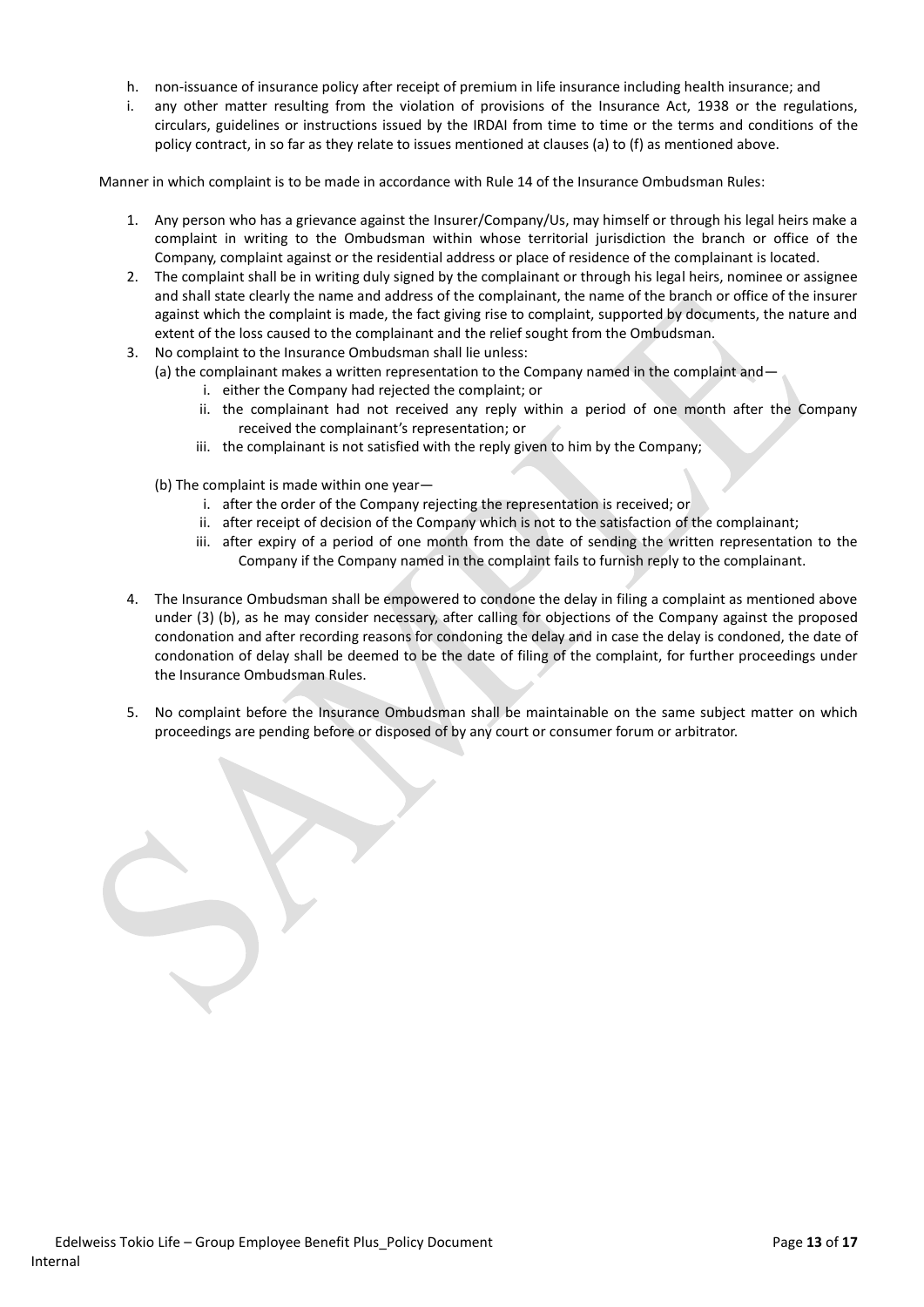- h. non-issuance of insurance policy after receipt of premium in life insurance including health insurance; and
- i. any other matter resulting from the violation of provisions of the Insurance Act, 1938 or the regulations, circulars, guidelines or instructions issued by the IRDAI from time to time or the terms and conditions of the policy contract, in so far as they relate to issues mentioned at clauses (a) to (f) as mentioned above.

Manner in which complaint is to be made in accordance with Rule 14 of the Insurance Ombudsman Rules:

- 1. Any person who has a grievance against the Insurer/Company/Us, may himself or through his legal heirs make a complaint in writing to the Ombudsman within whose territorial jurisdiction the branch or office of the Company, complaint against or the residential address or place of residence of the complainant is located.
- 2. The complaint shall be in writing duly signed by the complainant or through his legal heirs, nominee or assignee and shall state clearly the name and address of the complainant, the name of the branch or office of the insurer against which the complaint is made, the fact giving rise to complaint, supported by documents, the nature and extent of the loss caused to the complainant and the relief sought from the Ombudsman.
- 3. No complaint to the Insurance Ombudsman shall lie unless:
	- (a) the complainant makes a written representation to the Company named in the complaint and
		- i. either the Company had rejected the complaint; or
		- ii. the complainant had not received any reply within a period of one month after the Company received the complainant's representation; or
		- iii. the complainant is not satisfied with the reply given to him by the Company;
		- (b) The complaint is made within one year
			- i. after the order of the Company rejecting the representation is received; or
			- ii. after receipt of decision of the Company which is not to the satisfaction of the complainant;
			- iii. after expiry of a period of one month from the date of sending the written representation to the Company if the Company named in the complaint fails to furnish reply to the complainant.
- 4. The Insurance Ombudsman shall be empowered to condone the delay in filing a complaint as mentioned above under (3) (b), as he may consider necessary, after calling for objections of the Company against the proposed condonation and after recording reasons for condoning the delay and in case the delay is condoned, the date of condonation of delay shall be deemed to be the date of filing of the complaint, for further proceedings under the Insurance Ombudsman Rules.
- 5. No complaint before the Insurance Ombudsman shall be maintainable on the same subject matter on which proceedings are pending before or disposed of by any court or consumer forum or arbitrator.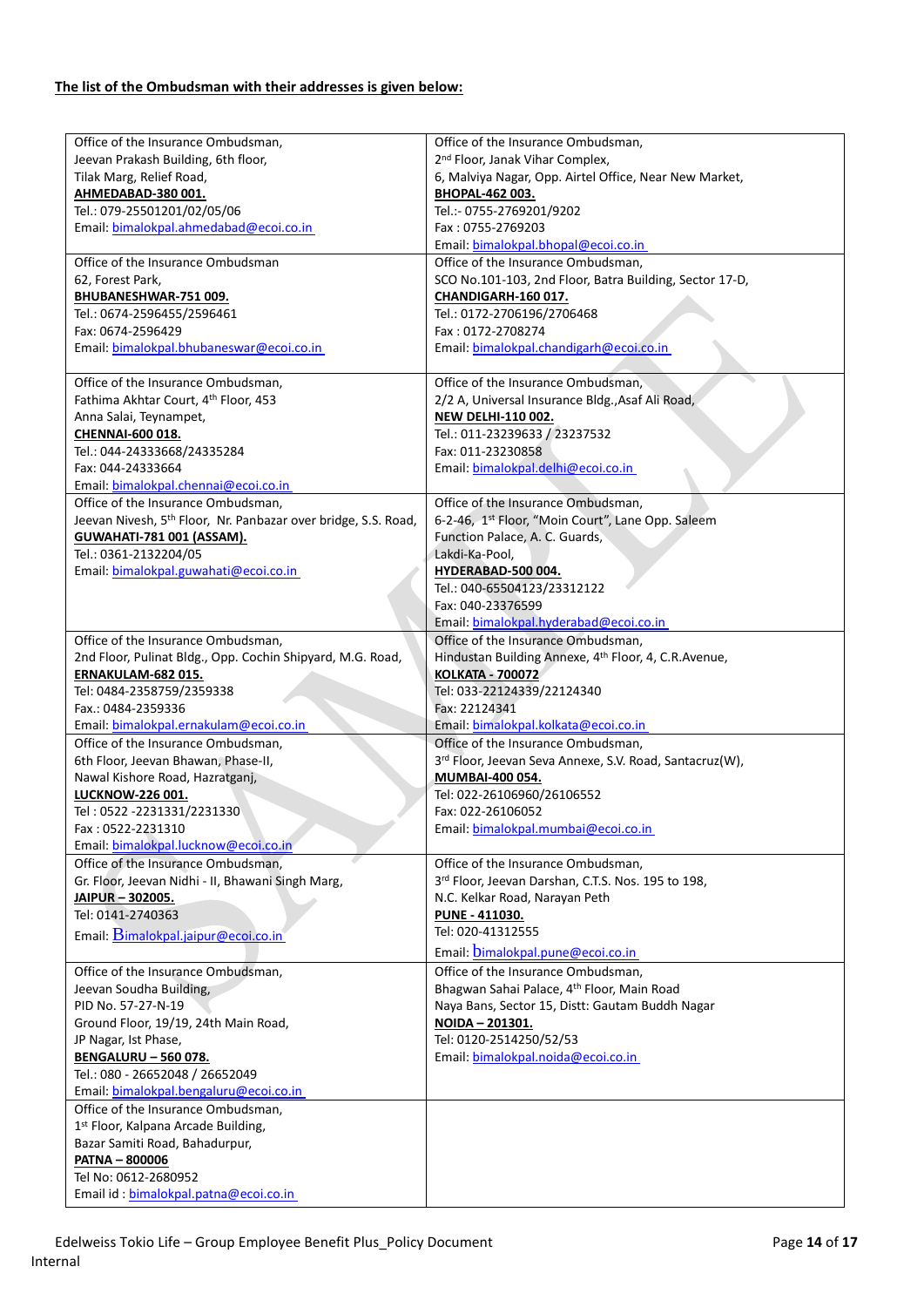# **The list of the Ombudsman with their addresses is given below:**

| Office of the Insurance Ombudsman,                                         | Office of the Insurance Ombudsman,                      |
|----------------------------------------------------------------------------|---------------------------------------------------------|
| Jeevan Prakash Building, 6th floor,                                        | 2 <sup>nd</sup> Floor, Janak Vihar Complex,             |
| Tilak Marg, Relief Road,                                                   | 6, Malviya Nagar, Opp. Airtel Office, Near New Market,  |
| AHMEDABAD-380 001.                                                         | BHOPAL-462 003.                                         |
| Tel.: 079-25501201/02/05/06                                                | Tel.:- 0755-2769201/9202                                |
| Email: bimalokpal.ahmedabad@ecoi.co.in                                     | Fax: 0755-2769203                                       |
|                                                                            | Email: bimalokpal.bhopal@ecoi.co.in                     |
| Office of the Insurance Ombudsman                                          | Office of the Insurance Ombudsman,                      |
| 62, Forest Park,                                                           | SCO No.101-103, 2nd Floor, Batra Building, Sector 17-D, |
| BHUBANESHWAR-751 009.                                                      | CHANDIGARH-160 017.                                     |
| Tel.: 0674-2596455/2596461                                                 | Tel.: 0172-2706196/2706468                              |
| Fax: 0674-2596429                                                          | Fax: 0172-2708274                                       |
| Email: bimalokpal.bhubaneswar@ecoi.co.in                                   | Email: bimalokpal.chandigarh@ecoi.co.in                 |
|                                                                            |                                                         |
| Office of the Insurance Ombudsman,                                         | Office of the Insurance Ombudsman,                      |
| Fathima Akhtar Court, 4th Floor, 453                                       | 2/2 A, Universal Insurance Bldg., Asaf Ali Road,        |
| Anna Salai, Teynampet,                                                     | <b>NEW DELHI-110 002.</b>                               |
| CHENNAI-600 018.                                                           | Tel.: 011-23239633 / 23237532                           |
| Tel.: 044-24333668/24335284                                                | Fax: 011-23230858                                       |
| Fax: 044-24333664                                                          | Email: bimalokpal.delhi@ecoi.co.in                      |
| Email: bimalokpal.chennai@ecoi.co.in                                       |                                                         |
| Office of the Insurance Ombudsman,                                         | Office of the Insurance Ombudsman,                      |
| Jeevan Nivesh, 5 <sup>th</sup> Floor, Nr. Panbazar over bridge, S.S. Road, | 6-2-46, 1st Floor, "Moin Court", Lane Opp. Saleem       |
| GUWAHATI-781 001 (ASSAM).                                                  | Function Palace, A. C. Guards,                          |
| Tel.: 0361-2132204/05                                                      | Lakdi-Ka-Pool.                                          |
| Email: bimalokpal.guwahati@ecoi.co.in                                      | HYDERABAD-500 004.                                      |
|                                                                            | Tel.: 040-65504123/23312122                             |
|                                                                            | Fax: 040-23376599                                       |
|                                                                            | Email: bimalokpal.hyderabad@ecoi.co.in                  |
| Office of the Insurance Ombudsman,                                         | Office of the Insurance Ombudsman,                      |
| 2nd Floor, Pulinat Bldg., Opp. Cochin Shipyard, M.G. Road,                 | Hindustan Building Annexe, 4th Floor, 4, C.R.Avenue,    |
| ERNAKULAM-682 015.                                                         | <b>KOLKATA - 700072</b>                                 |
| Tel: 0484-2358759/2359338                                                  | Tel: 033-22124339/22124340                              |
| Fax.: 0484-2359336                                                         | Fax: 22124341                                           |
| Email: bimalokpal.ernakulam@ecoi.co.in                                     | Email: bimalokpal.kolkata@ecoi.co.in                    |
| Office of the Insurance Ombudsman,                                         | Office of the Insurance Ombudsman,                      |
| 6th Floor, Jeevan Bhawan, Phase-II,                                        | 3rd Floor, Jeevan Seva Annexe, S.V. Road, Santacruz(W), |
| Nawal Kishore Road, Hazratganj,                                            | MUMBAI-400 054.                                         |
| LUCKNOW-226 001.                                                           | Tel: 022-26106960/26106552                              |
| Tel: 0522 -2231331/2231330                                                 | Fax: 022-26106052                                       |
| Fax: 0522-2231310                                                          | Email: bimalokpal.mumbai@ecoi.co.in                     |
| Email: bimalokpal.lucknow@ecoi.co.in                                       |                                                         |
| Office of the Insurance Ombudsman,                                         | Office of the Insurance Ombudsman,                      |
| Gr. Floor, Jeevan Nidhi - II, Bhawani Singh Marg,                          | 3rd Floor, Jeevan Darshan, C.T.S. Nos. 195 to 198,      |
| JAIPUR - 302005.                                                           | N.C. Kelkar Road, Narayan Peth                          |
| Tel: 0141-2740363                                                          | <b>PUNE - 411030.</b>                                   |
| Email: $\overline{\mathrm{B}}$ imalokpal.jaipur@ecoi.co.in                 | Tel: 020-41312555                                       |
|                                                                            | Email: bimalokpal.pune@ecoi.co.in                       |
| Office of the Insurance Ombudsman,                                         | Office of the Insurance Ombudsman,                      |
| Jeevan Soudha Building,                                                    | Bhagwan Sahai Palace, 4th Floor, Main Road              |
| PID No. 57-27-N-19                                                         | Naya Bans, Sector 15, Distt: Gautam Buddh Nagar         |
| Ground Floor, 19/19, 24th Main Road,                                       | NOIDA - 201301.                                         |
| JP Nagar, Ist Phase,                                                       | Tel: 0120-2514250/52/53                                 |
| <b>BENGALURU - 560 078.</b>                                                | Email: bimalokpal.noida@ecoi.co.in                      |
| Tel.: 080 - 26652048 / 26652049                                            |                                                         |
| Email: bimalokpal.bengaluru@ecoi.co.in                                     |                                                         |
| Office of the Insurance Ombudsman,                                         |                                                         |
| 1st Floor, Kalpana Arcade Building,                                        |                                                         |
| Bazar Samiti Road, Bahadurpur,                                             |                                                         |
| <b>PATNA - 800006</b>                                                      |                                                         |
| Tel No: 0612-2680952                                                       |                                                         |
| Email id: bimalokpal.patna@ecoi.co.in                                      |                                                         |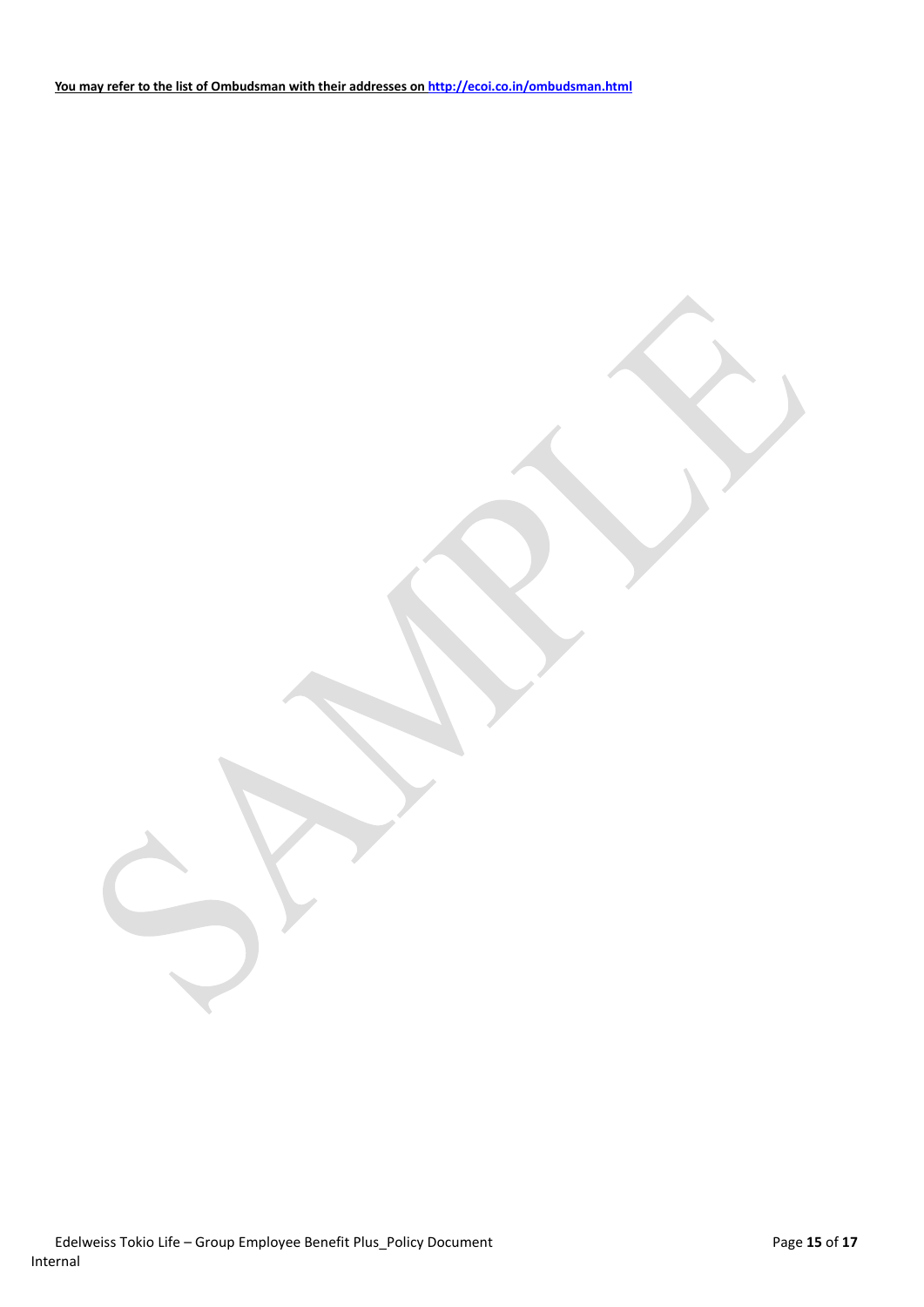Edelweiss Tokio Life – Group Employee Benefit Plus\_Policy Document Page 15 of 17 Internal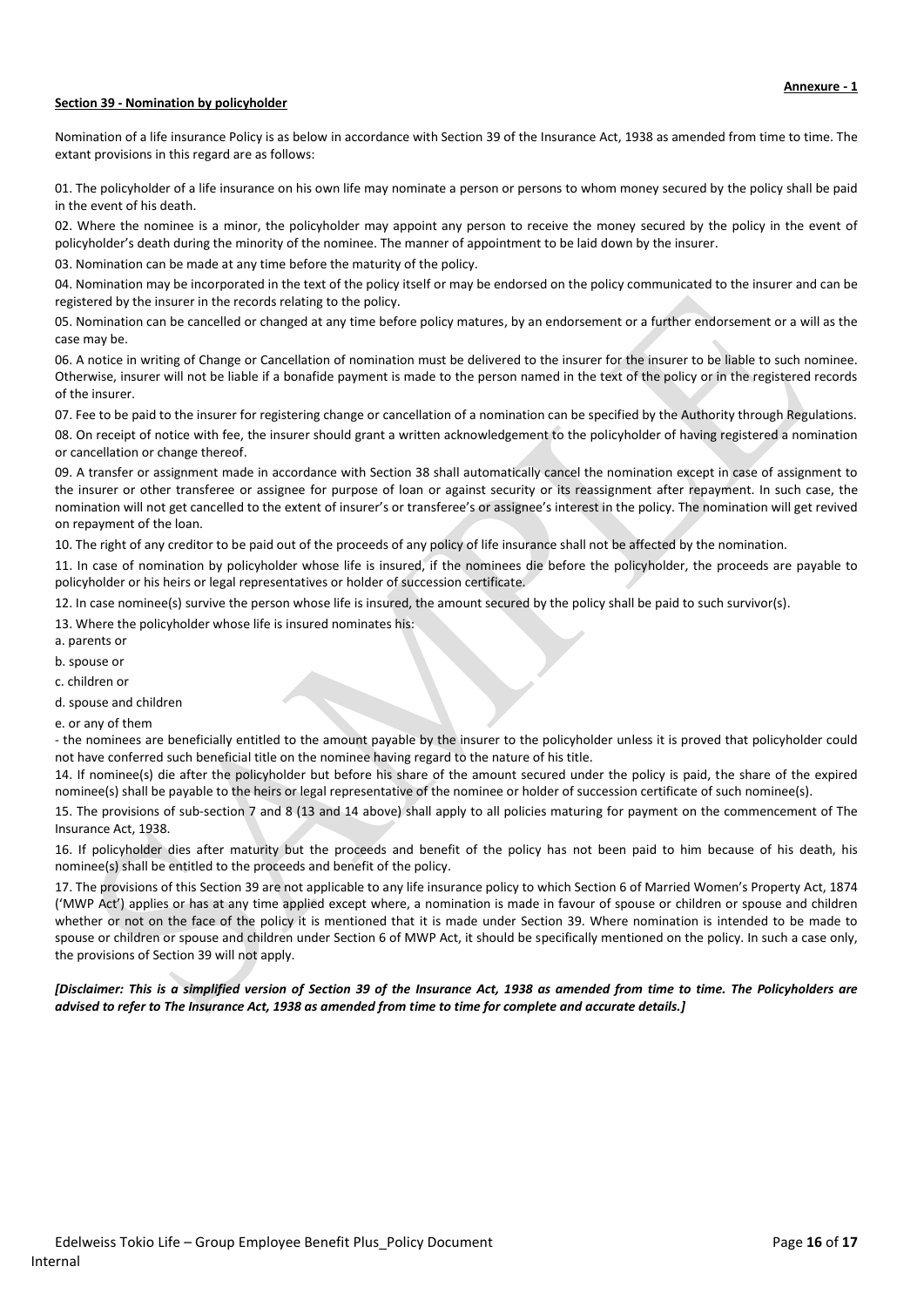#### **Section 39 - Nomination by policyholder**

Nomination of a life insurance Policy is as below in accordance with Section 39 of the Insurance Act, 1938 as amended from time to time. The extant provisions in this regard are as follows:

01. The policyholder of a life insurance on his own life may nominate a person or persons to whom money secured by the policy shall be paid in the event of his death.

02. Where the nominee is a minor, the policyholder may appoint any person to receive the money secured by the policy in the event of policyholder's death during the minority of the nominee. The manner of appointment to be laid down by the insurer.

03. Nomination can be made at any time before the maturity of the policy.

04. Nomination may be incorporated in the text of the policy itself or may be endorsed on the policy communicated to the insurer and can be registered by the insurer in the records relating to the policy.

05. Nomination can be cancelled or changed at any time before policy matures, by an endorsement or a further endorsement or a will as the case may be.

06. A notice in writing of Change or Cancellation of nomination must be delivered to the insurer for the insurer to be liable to such nominee. Otherwise, insurer will not be liable if a bonafide payment is made to the person named in the text of the policy or in the registered records of the insurer.

07. Fee to be paid to the insurer for registering change or cancellation of a nomination can be specified by the Authority through Regulations.

08. On receipt of notice with fee, the insurer should grant a written acknowledgement to the policyholder of having registered a nomination or cancellation or change thereof.

09. A transfer or assignment made in accordance with Section 38 shall automatically cancel the nomination except in case of assignment to the insurer or other transferee or assignee for purpose of loan or against security or its reassignment after repayment. In such case, the nomination will not get cancelled to the extent of insurer's or transferee's or assignee's interest in the policy. The nomination will get revived on repayment of the loan.

10. The right of any creditor to be paid out of the proceeds of any policy of life insurance shall not be affected by the nomination.

11. In case of nomination by policyholder whose life is insured, if the nominees die before the policyholder, the proceeds are payable to policyholder or his heirs or legal representatives or holder of succession certificate.

12. In case nominee(s) survive the person whose life is insured, the amount secured by the policy shall be paid to such survivor(s).

13. Where the policyholder whose life is insured nominates his:

a. parents or

b. spouse or

c. children or

d. spouse and children

e. or any of them

- the nominees are beneficially entitled to the amount payable by the insurer to the policyholder unless it is proved that policyholder could not have conferred such beneficial title on the nominee having regard to the nature of his title.

14. If nominee(s) die after the policyholder but before his share of the amount secured under the policy is paid, the share of the expired nominee(s) shall be payable to the heirs or legal representative of the nominee or holder of succession certificate of such nominee(s).

15. The provisions of sub-section 7 and 8 (13 and 14 above) shall apply to all policies maturing for payment on the commencement of The Insurance Act, 1938.

16. If policyholder dies after maturity but the proceeds and benefit of the policy has not been paid to him because of his death, his nominee(s) shall be entitled to the proceeds and benefit of the policy.

17. The provisions of this Section 39 are not applicable to any life insurance policy to which Section 6 of Married Women's Property Act, 1874 ('MWP Act') applies or has at any time applied except where, a nomination is made in favour of spouse or children or spouse and children whether or not on the face of the policy it is mentioned that it is made under Section 39. Where nomination is intended to be made to spouse or children or spouse and children under Section 6 of MWP Act, it should be specifically mentioned on the policy. In such a case only, the provisions of Section 39 will not apply.

*[Disclaimer: This is a simplified version of Section 39 of the Insurance Act, 1938 as amended from time to time. The Policyholders are advised to refer to The Insurance Act, 1938 as amended from time to time for complete and accurate details.]*